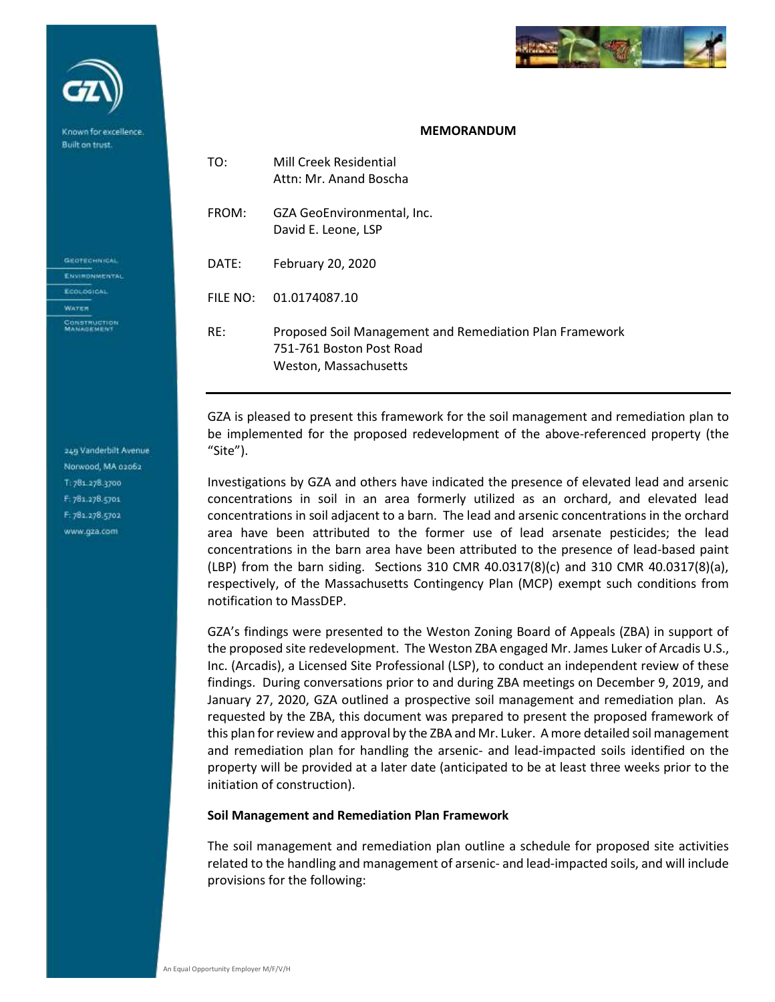

## **MEMORANDUM**

| TO:      | Mill Creek Residential<br>Attn: Mr. Anand Boscha                                                             |
|----------|--------------------------------------------------------------------------------------------------------------|
| FROM:    | GZA GeoEnvironmental, Inc.<br>David E. Leone, LSP                                                            |
| DATE:    | February 20, 2020                                                                                            |
| FILE NO: | 01.0174087.10                                                                                                |
| RE:      | Proposed Soil Management and Remediation Plan Framework<br>751-761 Boston Post Road<br>Weston, Massachusetts |

GZA is pleased to present this framework for the soil management and remediation plan to be implemented for the proposed redevelopment of the above-referenced property (the "Site").

Investigations by GZA and others have indicated the presence of elevated lead and arsenic concentrations in soil in an area formerly utilized as an orchard, and elevated lead concentrations in soil adjacent to a barn. The lead and arsenic concentrations in the orchard area have been attributed to the former use of lead arsenate pesticides; the lead concentrations in the barn area have been attributed to the presence of lead-based paint (LBP) from the barn siding. Sections 310 CMR 40.0317(8)(c) and 310 CMR 40.0317(8)(a), respectively, of the Massachusetts Contingency Plan (MCP) exempt such conditions from notification to MassDEP.

GZA's findings were presented to the Weston Zoning Board of Appeals (ZBA) in support of the proposed site redevelopment. The Weston ZBA engaged Mr. James Luker of Arcadis U.S., Inc. (Arcadis), a Licensed Site Professional (LSP), to conduct an independent review of these findings. During conversations prior to and during ZBA meetings on December 9, 2019, and January 27, 2020, GZA outlined a prospective soil management and remediation plan. As requested by the ZBA, this document was prepared to present the proposed framework of this plan for review and approval by the ZBA and Mr. Luker. A more detailed soil management and remediation plan for handling the arsenic- and lead-impacted soils identified on the property will be provided at a later date (anticipated to be at least three weeks prior to the initiation of construction).

## **Soil Management and Remediation Plan Framework**

The soil management and remediation plan outline a schedule for proposed site activities related to the handling and management of arsenic- and lead-impacted soils, and will include provisions for the following:

249 Vanderbilt Avenue Norwood, MA 02062 T: 781.278.3700 F: 781.278.5701 F: 181.278.5702 www.gza.com

Known for excellence Built on trust.

**GEOTECHNICAL** ENVIRONMENTAL ECOLOGICAL **WATER** CONSTRUCTION<br>MANAGEMENT